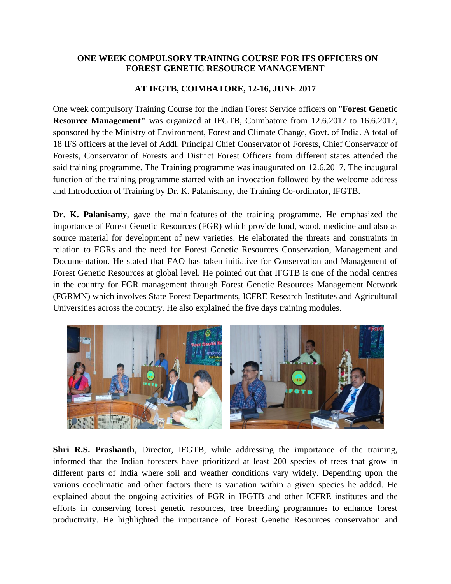## **ONE WEEK COMPULSORY TRAINING COURSE FOR IFS OFFICERS ON FOREST GENETIC RESOURCE MANAGEMENT**

## **AT IFGTB, COIMBATORE, 12-16, JUNE 2017**

One week compulsory Training Course for the Indian Forest Service officers on "**Forest Genetic Resource Management"** was organized at IFGTB, Coimbatore from 12.6.2017 to 16.6.2017, sponsored by the Ministry of Environment, Forest and Climate Change, Govt. of India. A total of 18 IFS officers at the level of Addl. Principal Chief Conservator of Forests, Chief Conservator of Forests, Conservator of Forests and District Forest Officers from different states attended the said training programme. The Training programme was inaugurated on 12.6.2017. The inaugural function of the training programme started with an invocation followed by the welcome address and Introduction of Training by Dr. K. Palanisamy, the Training Co-ordinator, IFGTB.

**Dr. K. Palanisamy**, gave the [main](http://www.macmillandictionary.com/dictionary/british/main_1) [features](http://www.macmillandictionary.com/dictionary/british/feature_1) of the training programme. He emphasized the importance of Forest Genetic Resources (FGR) which provide food, wood, medicine and also as source material for development of new varieties. He elaborated the threats and constraints in relation to FGRs and the need for Forest Genetic Resources Conservation, Management and Documentation. He stated that FAO has taken initiative for Conservation and Management of Forest Genetic Resources at global level. He pointed out that IFGTB is one of the nodal centres in the country for FGR management through Forest Genetic Resources Management Network (FGRMN) which involves State Forest Departments, ICFRE Research Institutes and Agricultural Universities across the country. He also explained the five days training modules.



**Shri R.S. Prashanth**, Director, IFGTB, while addressing the importance of the training, informed that the Indian foresters have prioritized at least 200 species of trees that grow in different parts of India where soil and weather conditions vary widely. Depending upon the various ecoclimatic and other factors there is variation within a given species he added. He explained about the ongoing activities of FGR in IFGTB and other ICFRE institutes and the efforts in conserving forest genetic resources, tree breeding programmes to enhance forest productivity. He highlighted the importance of Forest Genetic Resources conservation and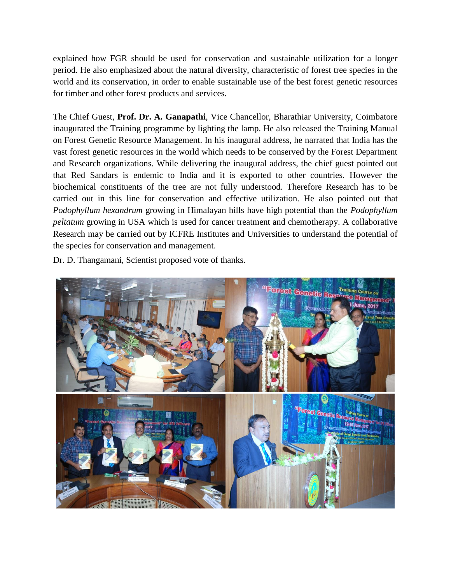explained how FGR should be used for conservation and sustainable utilization for a longer period. He also emphasized about the natural diversity, characteristic of forest tree species in the world and its conservation, in order to enable sustainable use of the best forest genetic resources for timber and other forest products and services.

The Chief Guest, **Prof. Dr. A. Ganapathi**, Vice Chancellor, Bharathiar University, Coimbatore inaugurated the Training programme by lighting the lamp. He also released the Training Manual on Forest Genetic Resource Management. In his inaugural address, he narrated that India has the vast forest genetic resources in the world which needs to be conserved by the Forest Department and Research organizations. While delivering the inaugural address, the chief guest pointed out that Red Sandars is endemic to India and it is exported to other countries. However the biochemical constituents of the tree are not fully understood. Therefore Research has to be carried out in this line for conservation and effective utilization. He also pointed out that *Podophyllum hexandrum* growing in Himalayan hills have high potential than the *Podophyllum peltatum* growing in USA which is used for cancer treatment and chemotherapy. A collaborative Research may be carried out by ICFRE Institutes and Universities to understand the potential of the species for conservation and management.

Dr. D. Thangamani, Scientist proposed vote of thanks.

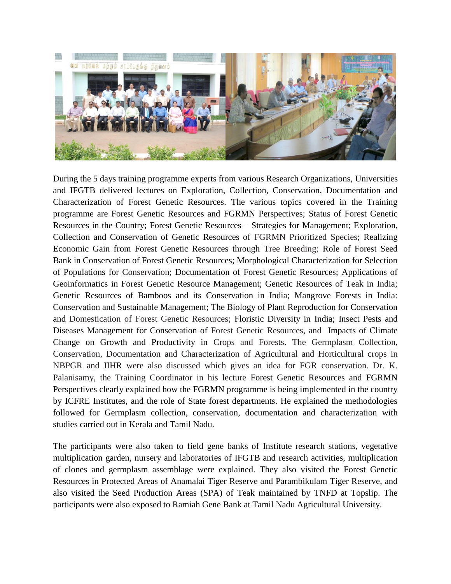

During the 5 days training programme experts from various Research Organizations, Universities and IFGTB delivered lectures on Exploration, Collection, Conservation, Documentation and Characterization of Forest Genetic Resources. The various topics covered in the Training programme are Forest Genetic Resources and FGRMN Perspectives; Status of Forest Genetic Resources in the Country; Forest Genetic Resources – Strategies for Management; Exploration, Collection and Conservation of Genetic Resources of FGRMN Prioritized Species; Realizing Economic Gain from Forest Genetic Resources through Tree Breeding; Role of Forest Seed Bank in Conservation of Forest Genetic Resources; Morphological Characterization for Selection of Populations for Conservation; Documentation of Forest Genetic Resources; Applications of Geoinformatics in Forest Genetic Resource Management; Genetic Resources of Teak in India; Genetic Resources of Bamboos and its Conservation in India; Mangrove Forests in India: Conservation and Sustainable Management; The Biology of Plant Reproduction for Conservation and Domestication of Forest Genetic Resources; Floristic Diversity in India; Insect Pests and Diseases Management for Conservation of Forest Genetic Resources, and Impacts of Climate Change on Growth and Productivity in Crops and Forests. The Germplasm Collection, Conservation, Documentation and Characterization of Agricultural and Horticultural crops in NBPGR and IIHR were also discussed which gives an idea for FGR conservation. Dr. K. Palanisamy, the Training Coordinator in his lecture Forest Genetic Resources and FGRMN Perspectives clearly explained how the FGRMN programme is being implemented in the country by ICFRE Institutes, and the role of State forest departments. He explained the methodologies followed for Germplasm collection, conservation, documentation and characterization with studies carried out in Kerala and Tamil Nadu.

The participants were also taken to field gene banks of Institute research stations, vegetative multiplication garden, nursery and laboratories of IFGTB and research activities, multiplication of clones and germplasm assemblage were explained. They also visited the Forest Genetic Resources in Protected Areas of Anamalai Tiger Reserve and Parambikulam Tiger Reserve, and also visited the Seed Production Areas (SPA) of Teak maintained by TNFD at Topslip. The participants were also exposed to Ramiah Gene Bank at Tamil Nadu Agricultural University.